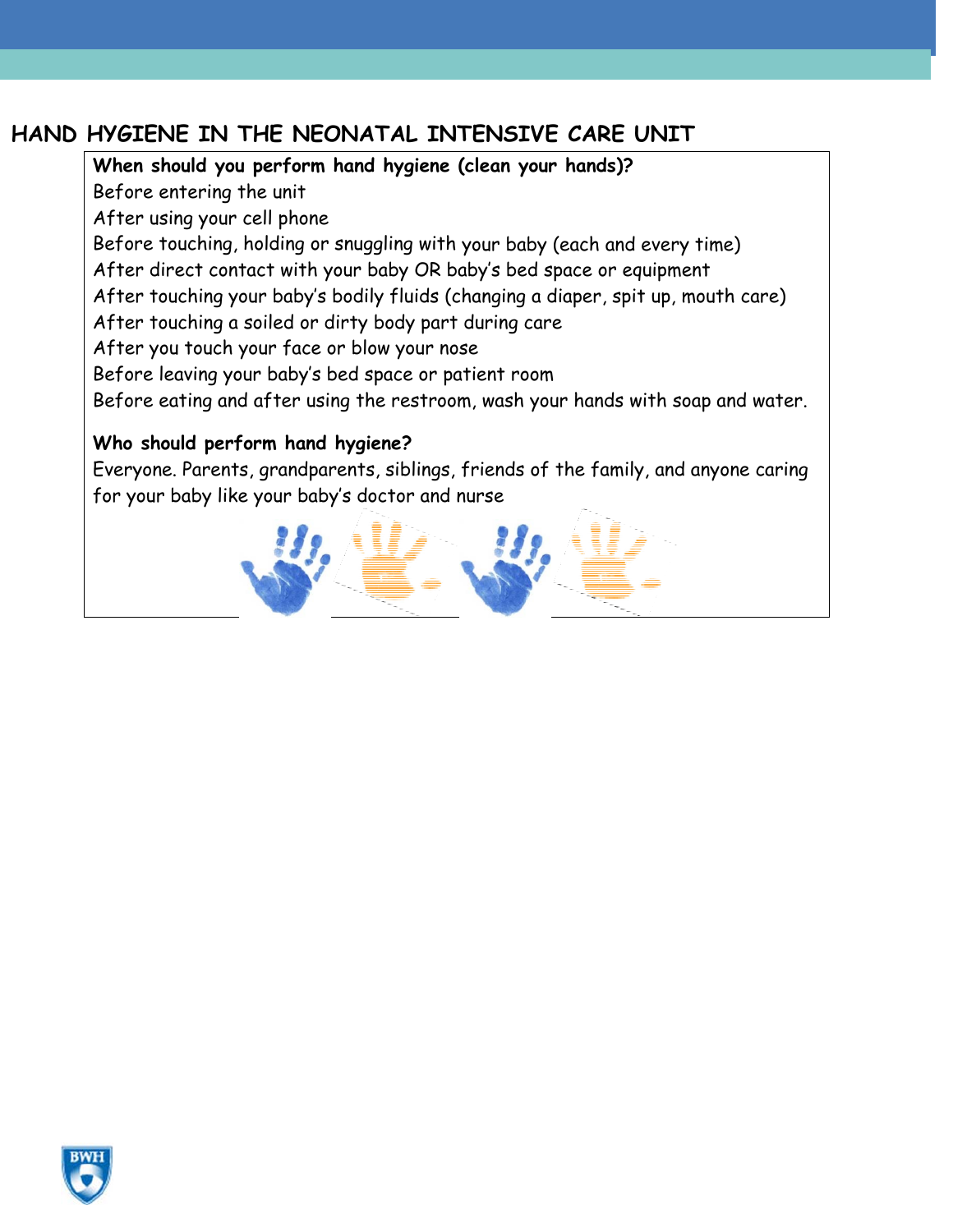## **HAND HYGIENE IN THE NEONATAL INTENSIVE CARE UNIT**

**When should you perform hand hygiene (clean your hands)?**  Before entering the unit After using your cell phone Before touching, holding or snuggling with your baby (each and every time) After direct contact with your baby OR baby's bed space or equipment After touching your baby's bodily fluids (changing a diaper, spit up, mouth care) After touching a soiled or dirty body part during care After you touch your face or blow your nose Before leaving your baby's bed space or patient room Before eating and after using the restroom, wash your hands with soap and water. **Who should perform hand hygiene?** 

Everyone. Parents, grandparents, siblings, friends of the family, and anyone caring for your baby like your baby's doctor and nurse